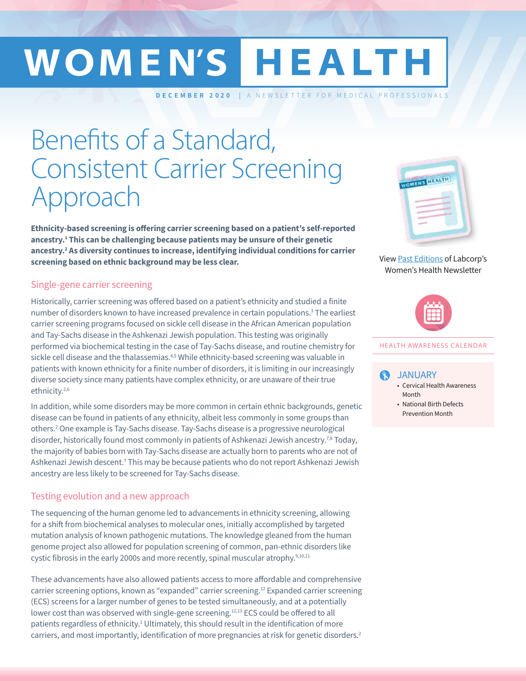# WOMEN'S HEALTH

**DECEMBER 2020** | A NEWSLETTER FOR MEDICAL PROFESSIONALS

## Benefits of a Standard, Consistent Carrier Screening Approach

**Ethnicity-based screening is offering carrier screening based on a patient's self-reported ancestry.1 This can be challenging because patients may be unsure of their genetic ancestry.2 As diversity continues to increase, identifying individual conditions for carrier screening based on ethnic background may be less clear.2**

#### Single-gene carrier screening

Historically, carrier screening was offered based on a patient's ethnicity and studied a finite number of disorders known to have increased prevalence in certain populations.<sup>3</sup> The earliest carrier screening programs focused on sickle cell disease in the African American population and Tay-Sachs disease in the Ashkenazi Jewish population. This testing was originally performed via biochemical testing in the case of Tay-Sachs disease, and routine chemistry for sickle cell disease and the thalassemias. $4,5$  While ethnicity-based screening was valuable in patients with known ethnicity for a finite number of disorders, it is limiting in our increasingly diverse society since many patients have complex ethnicity, or are unaware of their true ethnicity.2,6

In addition, while some disorders may be more common in certain ethnic backgrounds, genetic disease can be found in patients of any ethnicity, albeit less commonly in some groups than others.2 One example is Tay-Sachs disease. Tay-Sachs disease is a progressive neurological disorder, historically found most commonly in patients of Ashkenazi Jewish ancestry.7,8 Today, the majority of babies born with Tay-Sachs disease are actually born to parents who are not of Ashkenazi Jewish descent.<sup>7</sup> This may be because patients who do not report Ashkenazi Jewish ancestry are less likely to be screened for Tay-Sachs disease.

#### Testing evolution and a new approach

The sequencing of the human genome led to advancements in ethnicity screening, allowing for a shift from biochemical analyses to molecular ones, initially accomplished by targeted mutation analysis of known pathogenic mutations. The knowledge gleaned from the human genome project also allowed for population screening of common, pan-ethnic disorders like cystic fibrosis in the early 2000s and more recently, spinal muscular atrophy.<sup>9,10,11</sup>

These advancements have also allowed patients access to more affordable and comprehensive carrier screening options, known as "expanded" carrier screening.<sup>12</sup> Expanded carrier screening (ECS) screens for a larger number of genes to be tested simultaneously, and at a potentially lower cost than was observed with single-gene screening.<sup>12,13</sup> ECS could be offered to all patients regardless of ethnicity.<sup>1</sup> Ultimately, this should result in the identification of more carriers, and most importantly, identification of more pregnancies at risk for genetic disorders.<sup>2</sup>



View Past Editions of Labcorp's Women's Health Newsletter



#### HEALTH AWARENESS CALENDAR

#### JANUARY Q

- Cervical Health Awareness Month
- National Birth Defects Prevention Month